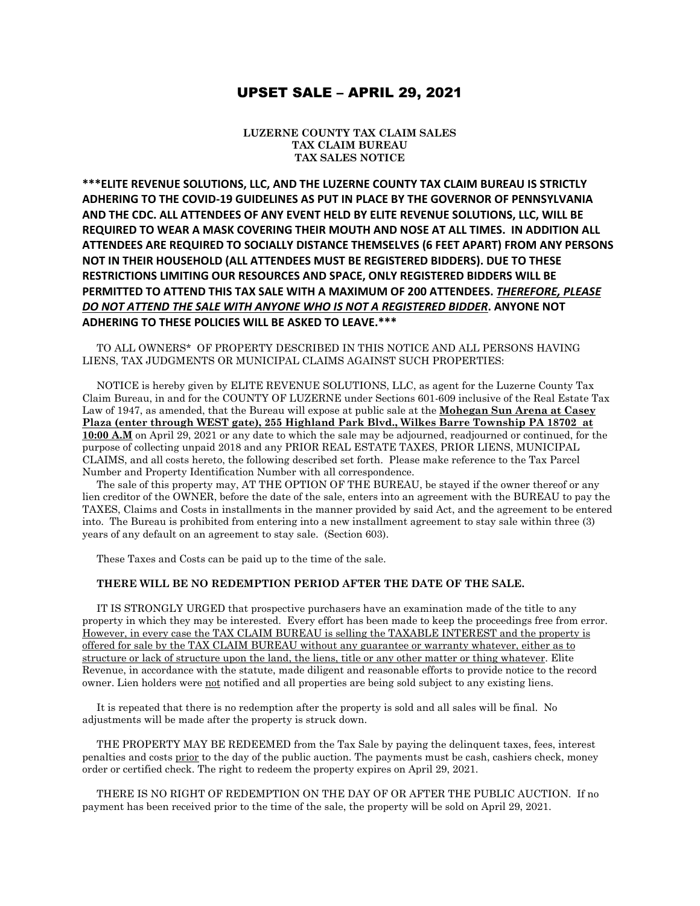## UPSET SALE – APRIL 29, 2021

**LUZERNE COUNTY TAX CLAIM SALES TAX CLAIM BUREAU TAX SALES NOTICE**

**\*\*\*ELITE REVENUE SOLUTIONS, LLC, AND THE LUZERNE COUNTY TAX CLAIM BUREAU IS STRICTLY ADHERING TO THE COVID-19 GUIDELINES AS PUT IN PLACE BY THE GOVERNOR OF PENNSYLVANIA AND THE CDC. ALL ATTENDEES OF ANY EVENT HELD BY ELITE REVENUE SOLUTIONS, LLC, WILL BE REQUIRED TO WEAR A MASK COVERING THEIR MOUTH AND NOSE AT ALL TIMES. IN ADDITION ALL ATTENDEES ARE REQUIRED TO SOCIALLY DISTANCE THEMSELVES (6 FEET APART) FROM ANY PERSONS NOT IN THEIR HOUSEHOLD (ALL ATTENDEES MUST BE REGISTERED BIDDERS). DUE TO THESE RESTRICTIONS LIMITING OUR RESOURCES AND SPACE, ONLY REGISTERED BIDDERS WILL BE PERMITTED TO ATTEND THIS TAX SALE WITH A MAXIMUM OF 200 ATTENDEES.** *THEREFORE, PLEASE DO NOT ATTEND THE SALE WITH ANYONE WHO IS NOT A REGISTERED BIDDER***. ANYONE NOT ADHERING TO THESE POLICIES WILL BE ASKED TO LEAVE.\*\*\***

 TO ALL OWNERS\* OF PROPERTY DESCRIBED IN THIS NOTICE AND ALL PERSONS HAVING LIENS, TAX JUDGMENTS OR MUNICIPAL CLAIMS AGAINST SUCH PROPERTIES:

 NOTICE is hereby given by ELITE REVENUE SOLUTIONS, LLC, as agent for the Luzerne County Tax Claim Bureau, in and for the COUNTY OF LUZERNE under Sections 601-609 inclusive of the Real Estate Tax Law of 1947, as amended, that the Bureau will expose at public sale at the **Mohegan Sun Arena at Casey Plaza (enter through WEST gate), 255 Highland Park Blvd., Wilkes Barre Township PA 18702 at 10:00 A.M** on April 29, 2021 or any date to which the sale may be adjourned, readjourned or continued, for the purpose of collecting unpaid 2018 and any PRIOR REAL ESTATE TAXES, PRIOR LIENS, MUNICIPAL CLAIMS, and all costs hereto, the following described set forth. Please make reference to the Tax Parcel Number and Property Identification Number with all correspondence.

 The sale of this property may, AT THE OPTION OF THE BUREAU, be stayed if the owner thereof or any lien creditor of the OWNER, before the date of the sale, enters into an agreement with the BUREAU to pay the TAXES, Claims and Costs in installments in the manner provided by said Act, and the agreement to be entered into. The Bureau is prohibited from entering into a new installment agreement to stay sale within three (3) years of any default on an agreement to stay sale. (Section 603).

These Taxes and Costs can be paid up to the time of the sale.

## **THERE WILL BE NO REDEMPTION PERIOD AFTER THE DATE OF THE SALE.**

 IT IS STRONGLY URGED that prospective purchasers have an examination made of the title to any property in which they may be interested. Every effort has been made to keep the proceedings free from error. However, in every case the TAX CLAIM BUREAU is selling the TAXABLE INTEREST and the property is offered for sale by the TAX CLAIM BUREAU without any guarantee or warranty whatever, either as to structure or lack of structure upon the land, the liens, title or any other matter or thing whatever. Elite Revenue, in accordance with the statute, made diligent and reasonable efforts to provide notice to the record owner. Lien holders were not notified and all properties are being sold subject to any existing liens.

 It is repeated that there is no redemption after the property is sold and all sales will be final. No adjustments will be made after the property is struck down.

 THE PROPERTY MAY BE REDEEMED from the Tax Sale by paying the delinquent taxes, fees, interest penalties and costs prior to the day of the public auction. The payments must be cash, cashiers check, money order or certified check. The right to redeem the property expires on April 29, 2021.

 THERE IS NO RIGHT OF REDEMPTION ON THE DAY OF OR AFTER THE PUBLIC AUCTION. If no payment has been received prior to the time of the sale, the property will be sold on April 29, 2021.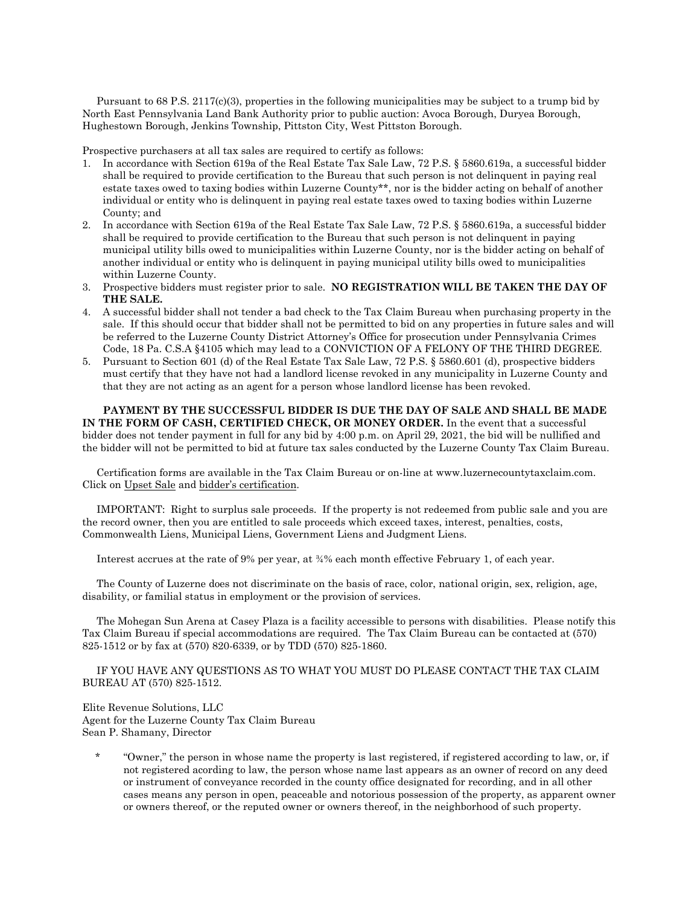Pursuant to 68 P.S. 2117(c)(3), properties in the following municipalities may be subject to a trump bid by North East Pennsylvania Land Bank Authority prior to public auction: Avoca Borough, Duryea Borough, Hughestown Borough, Jenkins Township, Pittston City, West Pittston Borough.

Prospective purchasers at all tax sales are required to certify as follows:

- 1. In accordance with Section 619a of the Real Estate Tax Sale Law, 72 P.S. § 5860.619a, a successful bidder shall be required to provide certification to the Bureau that such person is not delinquent in paying real estate taxes owed to taxing bodies within Luzerne County\*\*, nor is the bidder acting on behalf of another individual or entity who is delinquent in paying real estate taxes owed to taxing bodies within Luzerne County; and
- 2. In accordance with Section 619a of the Real Estate Tax Sale Law, 72 P.S. § 5860.619a, a successful bidder shall be required to provide certification to the Bureau that such person is not delinquent in paying municipal utility bills owed to municipalities within Luzerne County, nor is the bidder acting on behalf of another individual or entity who is delinquent in paying municipal utility bills owed to municipalities within Luzerne County.
- 3. Prospective bidders must register prior to sale. **NO REGISTRATION WILL BE TAKEN THE DAY OF THE SALE.**
- 4. A successful bidder shall not tender a bad check to the Tax Claim Bureau when purchasing property in the sale. If this should occur that bidder shall not be permitted to bid on any properties in future sales and will be referred to the Luzerne County District Attorney's Office for prosecution under Pennsylvania Crimes Code, 18 Pa. C.S.A §4105 which may lead to a CONVICTION OF A FELONY OF THE THIRD DEGREE.
- 5. Pursuant to Section 601 (d) of the Real Estate Tax Sale Law, 72 P.S. § 5860.601 (d), prospective bidders must certify that they have not had a landlord license revoked in any municipality in Luzerne County and that they are not acting as an agent for a person whose landlord license has been revoked.

**PAYMENT BY THE SUCCESSFUL BIDDER IS DUE THE DAY OF SALE AND SHALL BE MADE IN THE FORM OF CASH, CERTIFIED CHECK, OR MONEY ORDER.** In the event that a successful bidder does not tender payment in full for any bid by 4:00 p.m. on April 29, 2021, the bid will be nullified and the bidder will not be permitted to bid at future tax sales conducted by the Luzerne County Tax Claim Bureau.

 Certification forms are available in the Tax Claim Bureau or on-line at www.luzernecountytaxclaim.com. Click on Upset Sale and bidder's certification.

 IMPORTANT: Right to surplus sale proceeds. If the property is not redeemed from public sale and you are the record owner, then you are entitled to sale proceeds which exceed taxes, interest, penalties, costs, Commonwealth Liens, Municipal Liens, Government Liens and Judgment Liens.

Interest accrues at the rate of 9% per year, at ¾% each month effective February 1, of each year.

 The County of Luzerne does not discriminate on the basis of race, color, national origin, sex, religion, age, disability, or familial status in employment or the provision of services.

 The Mohegan Sun Arena at Casey Plaza is a facility accessible to persons with disabilities. Please notify this Tax Claim Bureau if special accommodations are required. The Tax Claim Bureau can be contacted at (570) 825-1512 or by fax at (570) 820-6339, or by TDD (570) 825-1860.

 IF YOU HAVE ANY QUESTIONS AS TO WHAT YOU MUST DO PLEASE CONTACT THE TAX CLAIM BUREAU AT (570) 825-1512.

Elite Revenue Solutions, LLC Agent for the Luzerne County Tax Claim Bureau Sean P. Shamany, Director

\* "Owner," the person in whose name the property is last registered, if registered according to law, or, if not registered acording to law, the person whose name last appears as an owner of record on any deed or instrument of conveyance recorded in the county office designated for recording, and in all other cases means any person in open, peaceable and notorious possession of the property, as apparent owner or owners thereof, or the reputed owner or owners thereof, in the neighborhood of such property.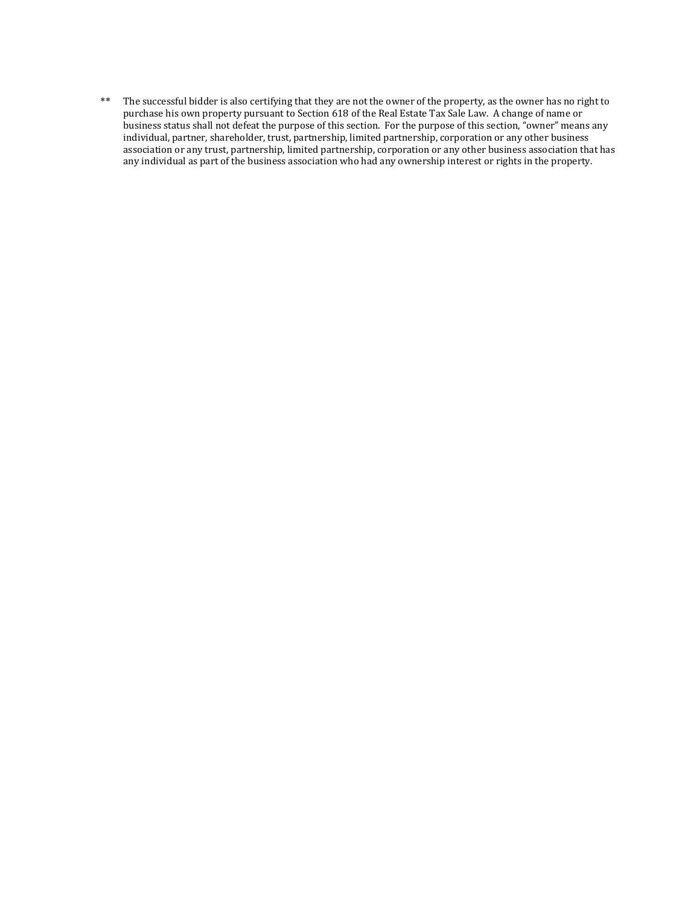\*\* The successful bidder is also certifying that they are not the owner of the property, as the owner has no right to purchase his own property pursuant to Section 618 of the Real Estate Tax Sale Law. A change of name or business status shall not defeat the purpose of this section. For the purpose of this section, "owner" means any individual, partner, shareholder, trust, partnership, limited partnership, corporation or any other business association or any trust, partnership, limited partnership, corporation or any other business association that has any individual as part of the business association who had any ownership interest or rights in the property.